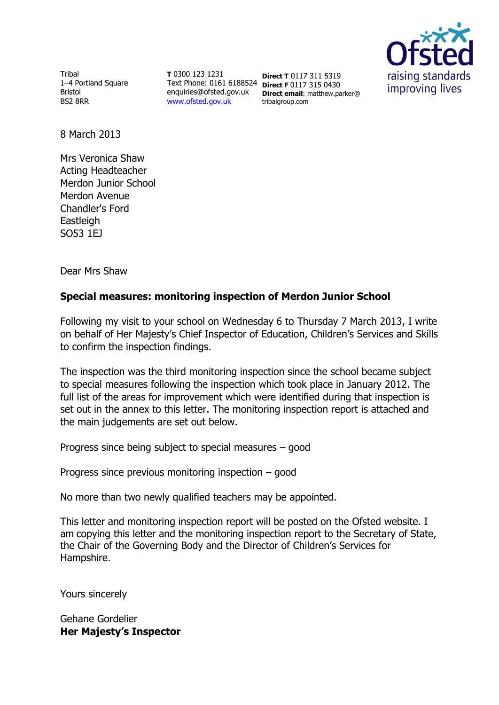

**Tribal** 1–4 Portland Square Bristol BS2 8RR

**T** 0300 123 1231 Text Phone: 0161 6188524 **Direct F** 0117 315 0430 enquiries@ofsted.gov.uk [www.ofsted.gov.uk](http://www.ofsted.gov.uk/)

**Direct T** 0117 311 5319 **Direct email**: matthew.parker@ tribalgroup.com

8 March 2013

Mrs Veronica Shaw Acting Headteacher Merdon Junior School Merdon Avenue Chandler's Ford **Eastleigh** SO53 1EJ

Dear Mrs Shaw

# **Special measures: monitoring inspection of Merdon Junior School**

Following my visit to your school on Wednesday 6 to Thursday 7 March 2013, I write on behalf of Her Majesty's Chief Inspector of Education, Children's Services and Skills to confirm the inspection findings.

The inspection was the third monitoring inspection since the school became subject to special measures following the inspection which took place in January 2012. The full list of the areas for improvement which were identified during that inspection is set out in the annex to this letter. The monitoring inspection report is attached and the main judgements are set out below.

Progress since being subject to special measures – good

Progress since previous monitoring inspection – good

No more than two newly qualified teachers may be appointed.

This letter and monitoring inspection report will be posted on the Ofsted website. I am copying this letter and the monitoring inspection report to the Secretary of State, the Chair of the Governing Body and the Director of Children's Services for Hampshire.

Yours sincerely

Gehane Gordelier **Her Majesty's Inspector**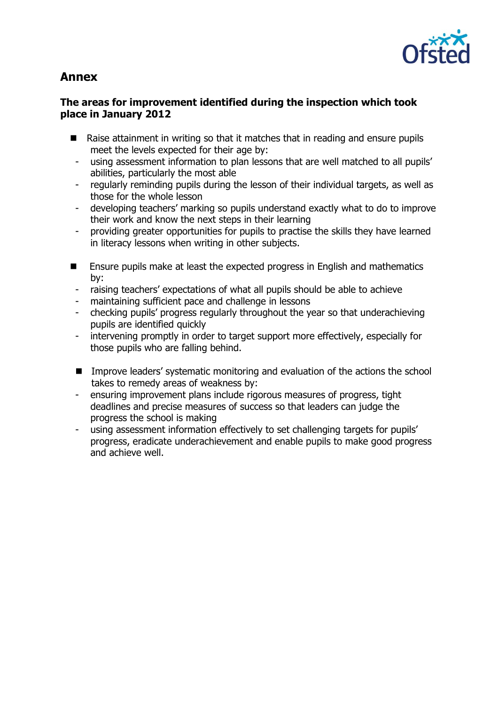

# **Annex**

### **The areas for improvement identified during the inspection which took place in January 2012**

- Raise attainment in writing so that it matches that in reading and ensure pupils meet the levels expected for their age by:
	- using assessment information to plan lessons that are well matched to all pupils' abilities, particularly the most able
- regularly reminding pupils during the lesson of their individual targets, as well as those for the whole lesson
- developing teachers' marking so pupils understand exactly what to do to improve their work and know the next steps in their learning
- providing greater opportunities for pupils to practise the skills they have learned in literacy lessons when writing in other subjects.
- **Ensure pupils make at least the expected progress in English and mathematics** by:
- raising teachers' expectations of what all pupils should be able to achieve
- maintaining sufficient pace and challenge in lessons
- checking pupils' progress regularly throughout the year so that underachieving pupils are identified quickly
- intervening promptly in order to target support more effectively, especially for those pupils who are falling behind.
- Improve leaders' systematic monitoring and evaluation of the actions the school takes to remedy areas of weakness by:
- ensuring improvement plans include rigorous measures of progress, tight deadlines and precise measures of success so that leaders can judge the progress the school is making
- using assessment information effectively to set challenging targets for pupils' progress, eradicate underachievement and enable pupils to make good progress and achieve well.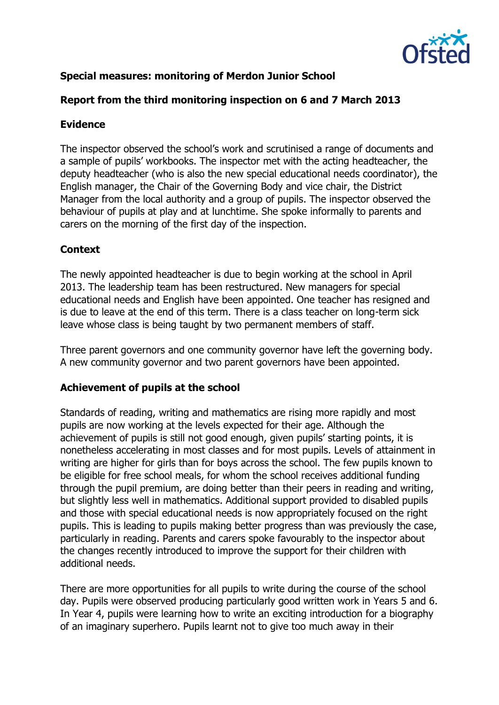

# **Special measures: monitoring of Merdon Junior School**

### **Report from the third monitoring inspection on 6 and 7 March 2013**

### **Evidence**

The inspector observed the school's work and scrutinised a range of documents and a sample of pupils' workbooks. The inspector met with the acting headteacher, the deputy headteacher (who is also the new special educational needs coordinator), the English manager, the Chair of the Governing Body and vice chair, the District Manager from the local authority and a group of pupils. The inspector observed the behaviour of pupils at play and at lunchtime. She spoke informally to parents and carers on the morning of the first day of the inspection.

# **Context**

The newly appointed headteacher is due to begin working at the school in April 2013. The leadership team has been restructured. New managers for special educational needs and English have been appointed. One teacher has resigned and is due to leave at the end of this term. There is a class teacher on long-term sick leave whose class is being taught by two permanent members of staff.

Three parent governors and one community governor have left the governing body. A new community governor and two parent governors have been appointed.

#### **Achievement of pupils at the school**

Standards of reading, writing and mathematics are rising more rapidly and most pupils are now working at the levels expected for their age. Although the achievement of pupils is still not good enough, given pupils' starting points, it is nonetheless accelerating in most classes and for most pupils. Levels of attainment in writing are higher for girls than for boys across the school. The few pupils known to be eligible for free school meals, for whom the school receives additional funding through the pupil premium, are doing better than their peers in reading and writing, but slightly less well in mathematics. Additional support provided to disabled pupils and those with special educational needs is now appropriately focused on the right pupils. This is leading to pupils making better progress than was previously the case, particularly in reading. Parents and carers spoke favourably to the inspector about the changes recently introduced to improve the support for their children with additional needs.

There are more opportunities for all pupils to write during the course of the school day. Pupils were observed producing particularly good written work in Years 5 and 6. In Year 4, pupils were learning how to write an exciting introduction for a biography of an imaginary superhero. Pupils learnt not to give too much away in their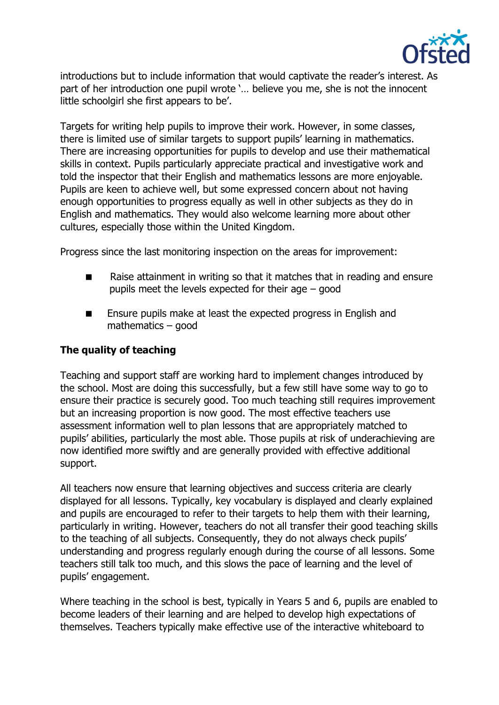

introductions but to include information that would captivate the reader's interest. As part of her introduction one pupil wrote '… believe you me, she is not the innocent little schoolgirl she first appears to be'.

Targets for writing help pupils to improve their work. However, in some classes, there is limited use of similar targets to support pupils' learning in mathematics. There are increasing opportunities for pupils to develop and use their mathematical skills in context. Pupils particularly appreciate practical and investigative work and told the inspector that their English and mathematics lessons are more enjoyable. Pupils are keen to achieve well, but some expressed concern about not having enough opportunities to progress equally as well in other subjects as they do in English and mathematics. They would also welcome learning more about other cultures, especially those within the United Kingdom.

Progress since the last monitoring inspection on the areas for improvement:

- Raise attainment in writing so that it matches that in reading and ensure pupils meet the levels expected for their age – good
- Ensure pupils make at least the expected progress in English and mathematics – good

### **The quality of teaching**

Teaching and support staff are working hard to implement changes introduced by the school. Most are doing this successfully, but a few still have some way to go to ensure their practice is securely good. Too much teaching still requires improvement but an increasing proportion is now good. The most effective teachers use assessment information well to plan lessons that are appropriately matched to pupils' abilities, particularly the most able. Those pupils at risk of underachieving are now identified more swiftly and are generally provided with effective additional support.

All teachers now ensure that learning objectives and success criteria are clearly displayed for all lessons. Typically, key vocabulary is displayed and clearly explained and pupils are encouraged to refer to their targets to help them with their learning, particularly in writing. However, teachers do not all transfer their good teaching skills to the teaching of all subjects. Consequently, they do not always check pupils' understanding and progress regularly enough during the course of all lessons. Some teachers still talk too much, and this slows the pace of learning and the level of pupils' engagement.

Where teaching in the school is best, typically in Years 5 and 6, pupils are enabled to become leaders of their learning and are helped to develop high expectations of themselves. Teachers typically make effective use of the interactive whiteboard to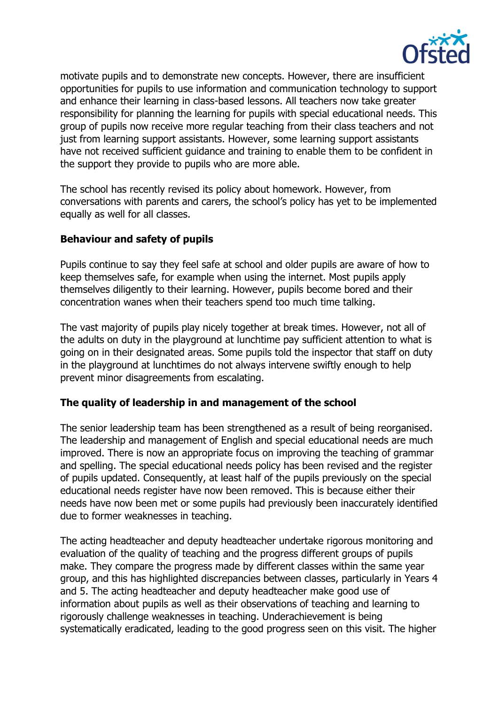

motivate pupils and to demonstrate new concepts. However, there are insufficient opportunities for pupils to use information and communication technology to support and enhance their learning in class-based lessons. All teachers now take greater responsibility for planning the learning for pupils with special educational needs. This group of pupils now receive more regular teaching from their class teachers and not just from learning support assistants. However, some learning support assistants have not received sufficient guidance and training to enable them to be confident in the support they provide to pupils who are more able.

The school has recently revised its policy about homework. However, from conversations with parents and carers, the school's policy has yet to be implemented equally as well for all classes.

### **Behaviour and safety of pupils**

Pupils continue to say they feel safe at school and older pupils are aware of how to keep themselves safe, for example when using the internet. Most pupils apply themselves diligently to their learning. However, pupils become bored and their concentration wanes when their teachers spend too much time talking.

The vast majority of pupils play nicely together at break times. However, not all of the adults on duty in the playground at lunchtime pay sufficient attention to what is going on in their designated areas. Some pupils told the inspector that staff on duty in the playground at lunchtimes do not always intervene swiftly enough to help prevent minor disagreements from escalating.

#### **The quality of leadership in and management of the school**

The senior leadership team has been strengthened as a result of being reorganised. The leadership and management of English and special educational needs are much improved. There is now an appropriate focus on improving the teaching of grammar and spelling. The special educational needs policy has been revised and the register of pupils updated. Consequently, at least half of the pupils previously on the special educational needs register have now been removed. This is because either their needs have now been met or some pupils had previously been inaccurately identified due to former weaknesses in teaching.

The acting headteacher and deputy headteacher undertake rigorous monitoring and evaluation of the quality of teaching and the progress different groups of pupils make. They compare the progress made by different classes within the same year group, and this has highlighted discrepancies between classes, particularly in Years 4 and 5. The acting headteacher and deputy headteacher make good use of information about pupils as well as their observations of teaching and learning to rigorously challenge weaknesses in teaching. Underachievement is being systematically eradicated, leading to the good progress seen on this visit. The higher